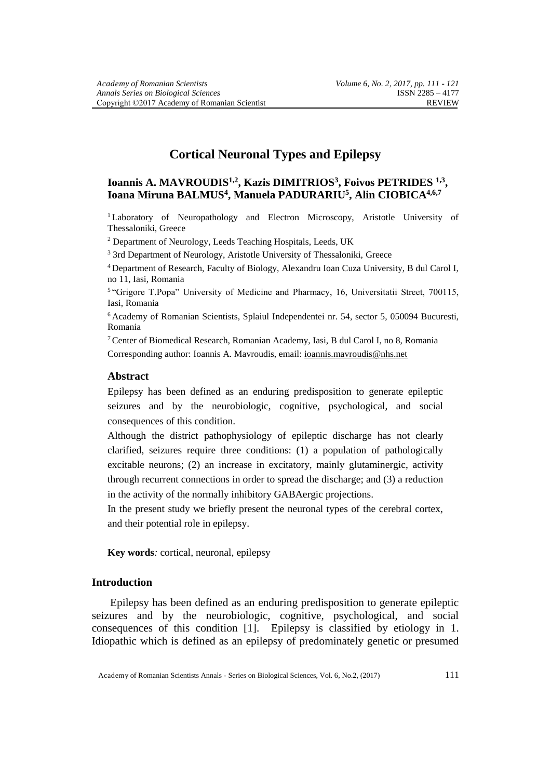# **Cortical Neuronal Types and Epilepsy**

# **Ioannis A. MAVROUDIS1,2 , Kazis DIMITRIOS<sup>3</sup> , Foivos PETRIDES 1,3 , Ioana Miruna BALMUS<sup>4</sup> , Manuela PADURARIU<sup>5</sup> , Alin CIOBICA4,6,7**

<sup>1</sup> Laboratory of Neuropathology and Electron Microscopy, Aristotle University of Thessaloniki, Greece

<sup>2</sup> Department of Neurology, Leeds Teaching Hospitals, Leeds, UK

<sup>3</sup> 3rd Department of Neurology, Aristotle University of Thessaloniki, Greece

<sup>4</sup> Department of Research, Faculty of Biology, Alexandru Ioan Cuza University, B dul Carol I, no 11, Iasi, Romania

5 "Grigore T.Popa" University of Medicine and Pharmacy, 16, Universitatii Street, 700115, Iasi, Romania

<sup>6</sup> Academy of Romanian Scientists, Splaiul Independentei nr. 54, sector 5, 050094 Bucuresti, Romania

<sup>7</sup> Center of Biomedical Research, Romanian Academy, Iasi, B dul Carol I, no 8, Romania Corresponding author: Ioannis A. Mavroudis, email: [ioannis.mavroudis@nhs.net](mailto:ioannis.mavroudis@nhs.net)

#### **Abstract**

Epilepsy has been defined as an enduring predisposition to generate epileptic seizures and by the neurobiologic, cognitive, psychological, and social consequences of this condition.

Although the district pathophysiology of epileptic discharge has not clearly clarified, seizures require three conditions: (1) a population of pathologically excitable neurons; (2) an increase in excitatory, mainly glutaminergic, activity through recurrent connections in order to spread the discharge; and (3) a reduction in the activity of the normally inhibitory GABAergic projections.

In the present study we briefly present the neuronal types of the cerebral cortex, and their potential role in epilepsy.

**Key words***:* cortical, neuronal, epilepsy

## **Introduction**

Epilepsy has been defined as an enduring predisposition to generate epileptic seizures and by the neurobiologic, cognitive, psychological, and social consequences of this condition [1]. Epilepsy is classified by etiology in 1. Idiopathic which is defined as an epilepsy of predominately genetic or presumed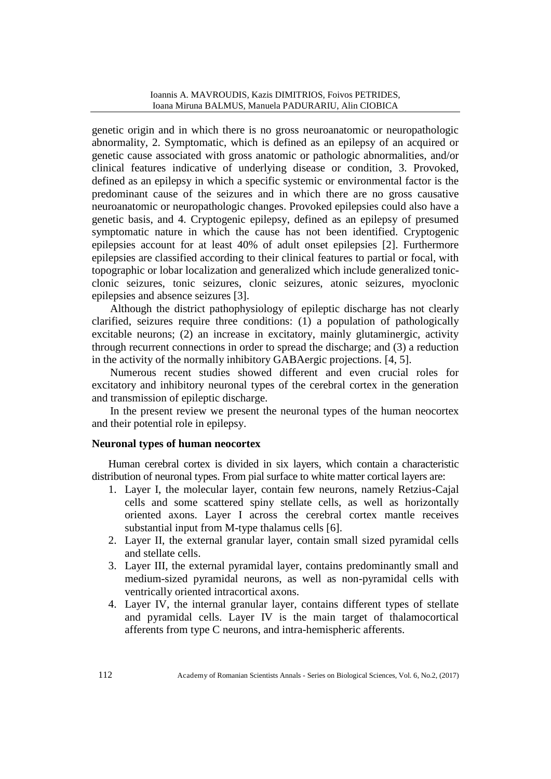genetic origin and in which there is no gross neuroanatomic or neuropathologic abnormality, 2. Symptomatic, which is defined as an epilepsy of an acquired or genetic cause associated with gross anatomic or pathologic abnormalities, and/or clinical features indicative of underlying disease or condition, 3. Provoked, defined as an epilepsy in which a specific systemic or environmental factor is the predominant cause of the seizures and in which there are no gross causative neuroanatomic or neuropathologic changes. Provoked epilepsies could also have a genetic basis, and 4. Cryptogenic epilepsy, defined as an epilepsy of presumed symptomatic nature in which the cause has not been identified. Cryptogenic epilepsies account for at least 40% of adult onset epilepsies [2]. Furthermore epilepsies are classified according to their clinical features to partial or focal, with topographic or lobar localization and generalized which include generalized tonicclonic seizures, tonic seizures, clonic seizures, atonic seizures, myoclonic epilepsies and absence seizures [3].

Although the district pathophysiology of epileptic discharge has not clearly clarified, seizures require three conditions: (1) a population of pathologically excitable neurons; (2) an increase in excitatory, mainly glutaminergic, activity through recurrent connections in order to spread the discharge; and (3) a reduction in the activity of the normally inhibitory GABAergic projections. [4, 5].

Numerous recent studies showed different and even crucial roles for excitatory and inhibitory neuronal types of the cerebral cortex in the generation and transmission of epileptic discharge.

In the present review we present the neuronal types of the human neocortex and their potential role in epilepsy.

## **Neuronal types of human neocortex**

Human cerebral cortex is divided in six layers, which contain a characteristic distribution of neuronal types. From pial surface to white matter cortical layers are:

- 1. Layer I, the molecular layer, contain few neurons, namely Retzius-Cajal cells and some scattered spiny stellate cells, as well as horizontally oriented axons. Layer I across the cerebral cortex mantle receives substantial input from M-type thalamus cells [6].
- 2. Layer II, the external granular layer, contain small sized pyramidal cells and stellate cells.
- 3. Layer III, the external pyramidal layer, contains predominantly small and medium-sized pyramidal neurons, as well as non-pyramidal cells with ventrically oriented intracortical axons.
- 4. Layer IV, the internal granular layer, contains different types of stellate and pyramidal cells. Layer IV is the main target of thalamocortical afferents from type C neurons, and intra-hemispheric afferents.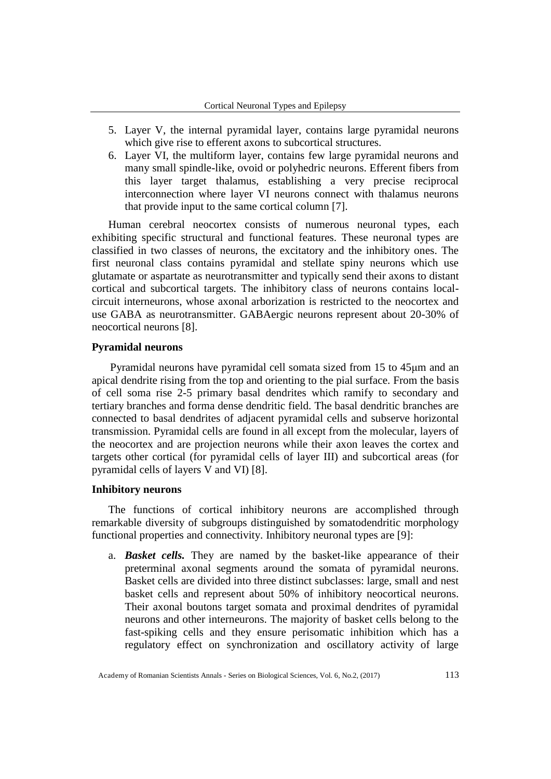- 5. Layer V, the internal pyramidal layer, contains large pyramidal neurons which give rise to efferent axons to subcortical structures.
- 6. Layer VI, the multiform layer, contains few large pyramidal neurons and many small spindle-like, ovoid or polyhedric neurons. Efferent fibers from this layer target thalamus, establishing a very precise reciprocal interconnection where layer VI neurons connect with thalamus neurons that provide input to the same cortical column [7].

Human cerebral neocortex consists of numerous neuronal types, each exhibiting specific structural and functional features. These neuronal types are classified in two classes of neurons, the excitatory and the inhibitory ones. The first neuronal class contains pyramidal and stellate spiny neurons which use glutamate or aspartate as neurotransmitter and typically send their axons to distant cortical and subcortical targets. The inhibitory class of neurons contains localcircuit interneurons, whose axonal arborization is restricted to the neocortex and use GABA as neurotransmitter. GABAergic neurons represent about 20-30% of neocortical neurons [8].

#### **Pyramidal neurons**

Pyramidal neurons have pyramidal cell somata sized from 15 to 45μm and an apical dendrite rising from the top and orienting to the pial surface. From the basis of cell soma rise 2-5 primary basal dendrites which ramify to secondary and tertiary branches and forma dense dendritic field. The basal dendritic branches are connected to basal dendrites of adjacent pyramidal cells and subserve horizontal transmission. Pyramidal cells are found in all except from the molecular, layers of the neocortex and are projection neurons while their axon leaves the cortex and targets other cortical (for pyramidal cells of layer III) and subcortical areas (for pyramidal cells of layers V and VI) [8].

#### **Inhibitory neurons**

The functions of cortical inhibitory neurons are accomplished through remarkable diversity of subgroups distinguished by somatodendritic morphology functional properties and connectivity. Inhibitory neuronal types are [9]:

a. *Basket cells.* They are named by the basket-like appearance of their preterminal axonal segments around the somata of pyramidal neurons. Basket cells are divided into three distinct subclasses: large, small and nest basket cells and represent about 50% of inhibitory neocortical neurons. Their axonal boutons target somata and proximal dendrites of pyramidal neurons and other interneurons. The majority of basket cells belong to the fast-spiking cells and they ensure perisomatic inhibition which has a regulatory effect on synchronization and oscillatory activity of large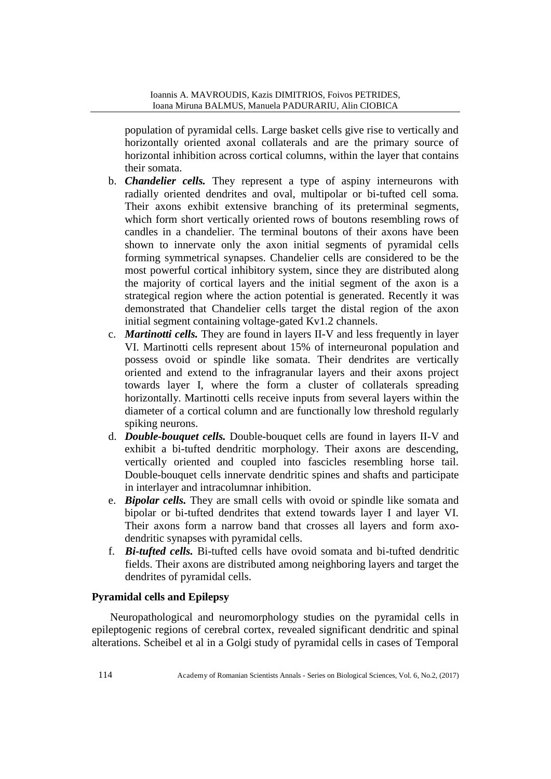population of pyramidal cells. Large basket cells give rise to vertically and horizontally oriented axonal collaterals and are the primary source of horizontal inhibition across cortical columns, within the layer that contains their somata.

- b. *Chandelier cells.* They represent a type of aspiny interneurons with radially oriented dendrites and oval, multipolar or bi-tufted cell soma. Their axons exhibit extensive branching of its preterminal segments, which form short vertically oriented rows of boutons resembling rows of candles in a chandelier. The terminal boutons of their axons have been shown to innervate only the axon initial segments of pyramidal cells forming symmetrical synapses. Chandelier cells are considered to be the most powerful cortical inhibitory system, since they are distributed along the majority of cortical layers and the initial segment of the axon is a strategical region where the action potential is generated. Recently it was demonstrated that Chandelier cells target the distal region of the axon initial segment containing voltage-gated Kv1.2 channels.
- c. *Martinotti cells.* They are found in layers II-V and less frequently in layer VI. Martinotti cells represent about 15% of interneuronal population and possess ovoid or spindle like somata. Their dendrites are vertically oriented and extend to the infragranular layers and their axons project towards layer I, where the form a cluster of collaterals spreading horizontally. Martinotti cells receive inputs from several layers within the diameter of a cortical column and are functionally low threshold regularly spiking neurons.
- d. *Double-bouquet cells.* Double-bouquet cells are found in layers II-V and exhibit a bi-tufted dendritic morphology. Their axons are descending, vertically oriented and coupled into fascicles resembling horse tail. Double-bouquet cells innervate dendritic spines and shafts and participate in interlayer and intracolumnar inhibition.
- e. *Bipolar cells.* They are small cells with ovoid or spindle like somata and bipolar or bi-tufted dendrites that extend towards layer I and layer VI. Their axons form a narrow band that crosses all layers and form axodendritic synapses with pyramidal cells.
- f. *Bi-tufted cells.* Bi-tufted cells have ovoid somata and bi-tufted dendritic fields. Their axons are distributed among neighboring layers and target the dendrites of pyramidal cells.

## **Pyramidal cells and Epilepsy**

Neuropathological and neuromorphology studies on the pyramidal cells in epileptogenic regions of cerebral cortex, revealed significant dendritic and spinal alterations. Scheibel et al in a Golgi study of pyramidal cells in cases of Temporal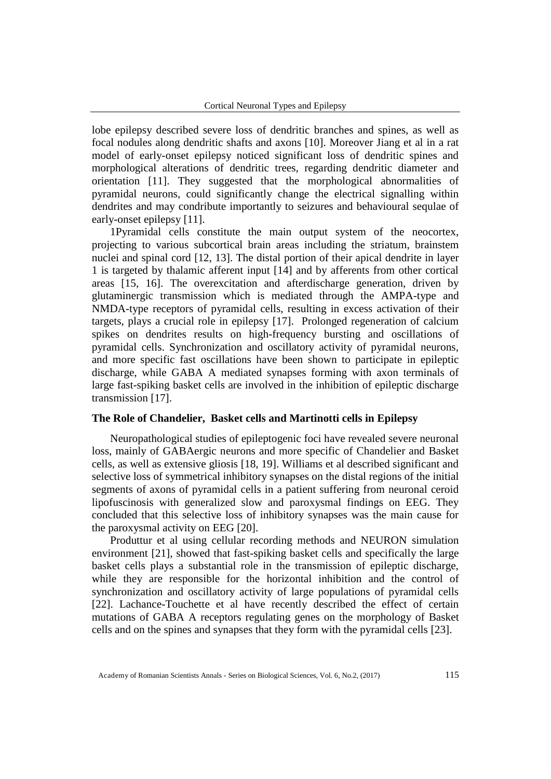lobe epilepsy described severe loss of dendritic branches and spines, as well as focal nodules along dendritic shafts and axons [10]. Moreover Jiang et al in a rat model of early-onset epilepsy noticed significant loss of dendritic spines and morphological alterations of dendritic trees, regarding dendritic diameter and orientation [11]. They suggested that the morphological abnormalities of pyramidal neurons, could significantly change the electrical signalling within dendrites and may condribute importantly to seizures and behavioural sequlae of early-onset epilepsy [11].

1Pyramidal cells constitute the main output system of the neocortex, projecting to various subcortical brain areas including the striatum, brainstem nuclei and spinal cord [12, 13]. The distal portion of their apical dendrite in layer 1 is targeted by thalamic afferent input [14] and by afferents from other cortical areas [15, 16]. The overexcitation and afterdischarge generation, driven by glutaminergic transmission which is mediated through the AMPA-type and NMDA-type receptors of pyramidal cells, resulting in excess activation of their targets, plays a crucial role in epilepsy [17]. Prolonged regeneration of calcium spikes on dendrites results on high-frequency bursting and oscillations of pyramidal cells. Synchronization and oscillatory activity of pyramidal neurons, and more specific fast oscillations have been shown to participate in epileptic discharge, while GABA A mediated synapses forming with axon terminals of large fast-spiking basket cells are involved in the inhibition of epileptic discharge transmission [17].

#### **The Role of Chandelier, Basket cells and Martinotti cells in Epilepsy**

Neuropathological studies of epileptogenic foci have revealed severe neuronal loss, mainly of GABAergic neurons and more specific of Chandelier and Basket cells, as well as extensive gliosis [18, 19]. Williams et al described significant and selective loss of symmetrical inhibitory synapses on the distal regions of the initial segments of axons of pyramidal cells in a patient suffering from neuronal ceroid lipofuscinosis with generalized slow and paroxysmal findings on EEG. They concluded that this selective loss of inhibitory synapses was the main cause for the paroxysmal activity on EEG [20].

Produttur et al using cellular recording methods and NEURON simulation environment [21], showed that fast-spiking basket cells and specifically the large basket cells plays a substantial role in the transmission of epileptic discharge, while they are responsible for the horizontal inhibition and the control of synchronization and oscillatory activity of large populations of pyramidal cells [22]. Lachance-Touchette et al have recently described the effect of certain mutations of GABA A receptors regulating genes on the morphology of Basket cells and on the spines and synapses that they form with the pyramidal cells [23].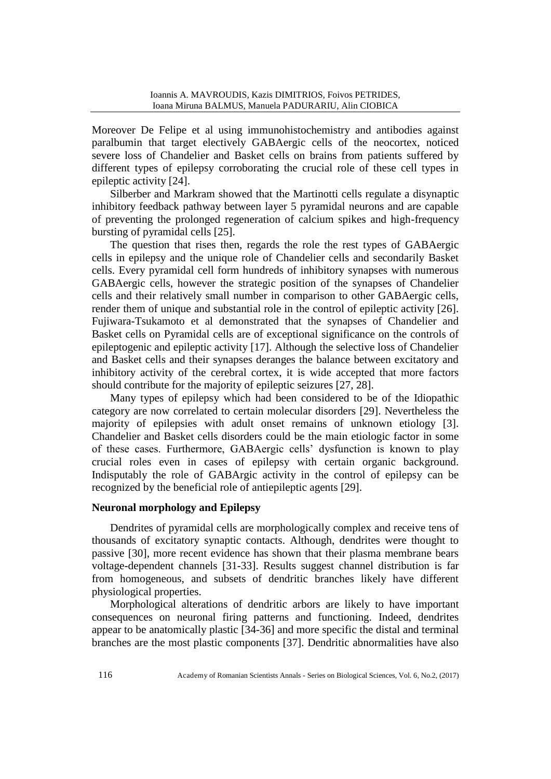Moreover De Felipe et al using immunohistochemistry and antibodies against paralbumin that target electively GABAergic cells of the neocortex, noticed severe loss of Chandelier and Basket cells on brains from patients suffered by different types of epilepsy corroborating the crucial role of these cell types in epileptic activity [24].

Silberber and Markram showed that the Martinotti cells regulate a disynaptic inhibitory feedback pathway between layer 5 pyramidal neurons and are capable of preventing the prolonged regeneration of calcium spikes and high-frequency bursting of pyramidal cells [25].

The question that rises then, regards the role the rest types of GABAergic cells in epilepsy and the unique role of Chandelier cells and secondarily Basket cells. Every pyramidal cell form hundreds of inhibitory synapses with numerous GABAergic cells, however the strategic position of the synapses of Chandelier cells and their relatively small number in comparison to other GABAergic cells, render them of unique and substantial role in the control of epileptic activity [26]. Fujiwara-Tsukamoto et al demonstrated that the synapses of Chandelier and Basket cells on Pyramidal cells are of exceptional significance on the controls of epileptogenic and epileptic activity [17]. Although the selective loss of Chandelier and Basket cells and their synapses deranges the balance between excitatory and inhibitory activity of the cerebral cortex, it is wide accepted that more factors should contribute for the majority of epileptic seizures [27, 28].

Many types of epilepsy which had been considered to be of the Idiopathic category are now correlated to certain molecular disorders [29]. Nevertheless the majority of epilepsies with adult onset remains of unknown etiology [3]. Chandelier and Basket cells disorders could be the main etiologic factor in some of these cases. Furthermore, GABAergic cells' dysfunction is known to play crucial roles even in cases of epilepsy with certain organic background. Indisputably the role of GABArgic activity in the control of epilepsy can be recognized by the beneficial role of antiepileptic agents [29].

### **Neuronal morphology and Epilepsy**

Dendrites of pyramidal cells are morphologically complex and receive tens of thousands of excitatory synaptic contacts. Although, dendrites were thought to passive [30], more recent evidence has shown that their plasma membrane bears voltage-dependent channels [31-33]. Results suggest channel distribution is far from homogeneous, and subsets of dendritic branches likely have different physiological properties.

Morphological alterations of dendritic arbors are likely to have important consequences on neuronal firing patterns and functioning. Indeed, dendrites appear to be anatomically plastic [34-36] and more specific the distal and terminal branches are the most plastic components [37]. Dendritic abnormalities have also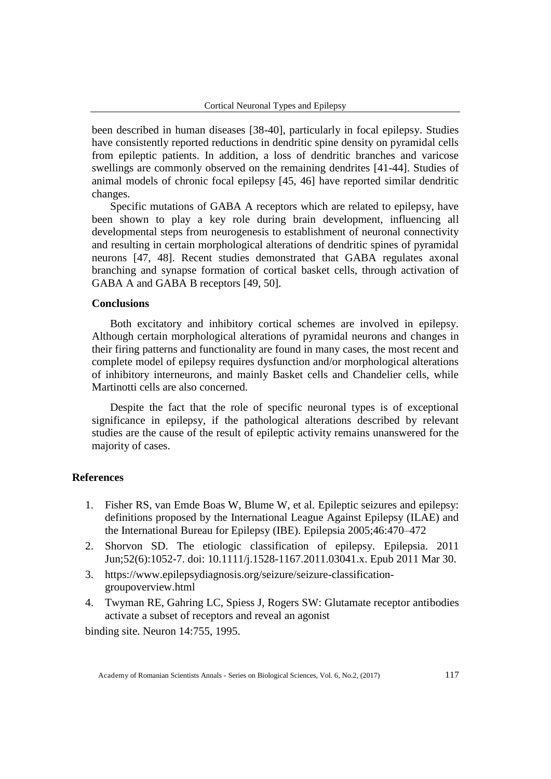been described in human diseases [38-40], particularly in focal epilepsy. Studies have consistently reported reductions in dendritic spine density on pyramidal cells from epileptic patients. In addition, a loss of dendritic branches and varicose swellings are commonly observed on the remaining dendrites [41-44]. Studies of animal models of chronic focal epilepsy [45, 46] have reported similar dendritic changes.

Specific mutations of GABA A receptors which are related to epilepsy, have been shown to play a key role during brain development, influencing all developmental steps from neurogenesis to establishment of neuronal connectivity and resulting in certain morphological alterations of dendritic spines of pyramidal neurons [47, 48]. Recent studies demonstrated that GABA regulates axonal branching and synapse formation of cortical basket cells, through activation of GABA A and GABA B receptors [49, 50].

#### **Conclusions**

Both excitatory and inhibitory cortical schemes are involved in epilepsy. Although certain morphological alterations of pyramidal neurons and changes in their firing patterns and functionality are found in many cases, the most recent and complete model of epilepsy requires dysfunction and/or morphological alterations of inhibitory interneurons, and mainly Basket cells and Chandelier cells, while Martinotti cells are also concerned.

Despite the fact that the role of specific neuronal types is of exceptional significance in epilepsy, if the pathological alterations described by relevant studies are the cause of the result of epileptic activity remains unanswered for the majority of cases.

## **References**

- 1. Fisher RS, van Emde Boas W, Blume W, et al. Epileptic seizures and epilepsy: definitions proposed by the International League Against Epilepsy (ILAE) and the International Bureau for Epilepsy (IBE). Epilepsia 2005;46:470–472
- 2. [Shorvon SD.](http://www.ncbi.nlm.nih.gov/pubmed?term=Shorvon%20SD%5BAuthor%5D&cauthor=true&cauthor_uid=21449936) The etiologic classification of epilepsy. [Epilepsia.](http://www.ncbi.nlm.nih.gov/pubmed/21449936) 2011 Jun;52(6):1052-7. doi: 10.1111/j.1528-1167.2011.03041.x. Epub 2011 Mar 30.
- 3. https://www.epilepsydiagnosis.org/seizure/seizure-classificationgroupoverview.html
- 4. Twyman RE, Gahring LC, Spiess J, Rogers SW: Glutamate receptor antibodies activate a subset of receptors and reveal an agonist

binding site. Neuron 14:755, 1995.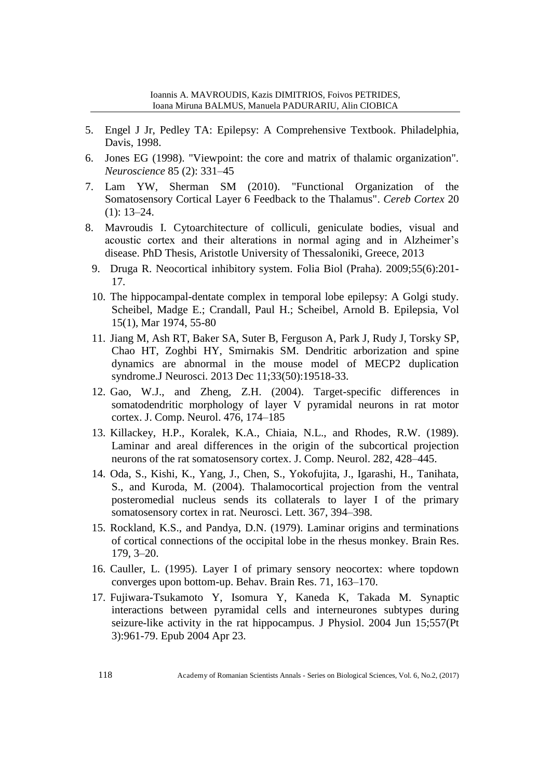- 5. Engel J Jr, Pedley TA: Epilepsy: A Comprehensive Textbook. Philadelphia, Davis, 1998.
- 6. Jones EG (1998). "Viewpoint: the core and matrix of thalamic organization". *Neuroscience* 85 (2): 331–45
- 7. Lam YW, Sherman SM (2010). ["Functional Organization of the](http://www.ncbi.nlm.nih.gov/pmc/articles/PMC2792186)  [Somatosensory Cortical Layer 6 Feedback to the Thalamus".](http://www.ncbi.nlm.nih.gov/pmc/articles/PMC2792186) *Cereb Cortex* 20 (1): 13–24.
- 8. Mavroudis I. Cytoarchitecture of colliculi, geniculate bodies, visual and acoustic cortex and their alterations in normal aging and in Alzheimer's disease. PhD Thesis, Aristotle University of Thessaloniki, Greece, 2013
	- 9. [Druga R.](http://www.ncbi.nlm.nih.gov/pubmed/?term=Druga%20R%5BAuthor%5D&cauthor=true&cauthor_uid=20163769) Neocortical inhibitory system. [Folia Biol \(Praha\).](http://www.ncbi.nlm.nih.gov/pubmed/20163769) 2009;55(6):201- 17.
	- 10. The hippocampal-dentate complex in temporal lobe epilepsy: A Golgi study. Scheibel, Madge E.; Crandall, Paul H.; Scheibel, Arnold B. Epilepsia, Vol 15(1), Mar 1974, 55-80
	- 11. Jiang M, Ash RT, Baker SA, Suter B, Ferguson A, Park J, Rudy J, Torsky SP, Chao HT, Zoghbi HY, Smirnakis SM. [Dendritic arborization and spine](http://www.ncbi.nlm.nih.gov/pubmed/24336718)  [dynamics are abnormal in the mouse model of MECP2 duplication](http://www.ncbi.nlm.nih.gov/pubmed/24336718)  [syndrome.J](http://www.ncbi.nlm.nih.gov/pubmed/24336718) Neurosci. 2013 Dec 11;33(50):19518-33.
	- 12. Gao, W.J., and Zheng, Z.H. (2004). Target-specific differences in somatodendritic morphology of layer V pyramidal neurons in rat motor cortex. J. Comp. Neurol. 476, 174–185
	- 13. Killackey, H.P., Koralek, K.A., Chiaia, N.L., and Rhodes, R.W. (1989). Laminar and areal differences in the origin of the subcortical projection neurons of the rat somatosensory cortex. J. Comp. Neurol. 282, 428–445.
	- 14. Oda, S., Kishi, K., Yang, J., Chen, S., Yokofujita, J., Igarashi, H., Tanihata, S., and Kuroda, M. (2004). Thalamocortical projection from the ventral posteromedial nucleus sends its collaterals to layer I of the primary somatosensory cortex in rat. Neurosci. Lett. 367, 394–398.
	- 15. Rockland, K.S., and Pandya, D.N. (1979). Laminar origins and terminations of cortical connections of the occipital lobe in the rhesus monkey. Brain Res. 179, 3–20.
	- 16. Cauller, L. (1995). Layer I of primary sensory neocortex: where topdown converges upon bottom-up. Behav. Brain Res. 71, 163–170.
	- 17. Fujiwara-Tsukamoto Y, Isomura Y, Kaneda K, Takada M. [Synaptic](http://www.ncbi.nlm.nih.gov/pubmed/15107470)  [interactions between pyramidal cells and interneurones](http://www.ncbi.nlm.nih.gov/pubmed/15107470) subtypes during [seizure-like activity in the rat hippocampus.](http://www.ncbi.nlm.nih.gov/pubmed/15107470) J Physiol. 2004 Jun 15;557(Pt 3):961-79. Epub 2004 Apr 23.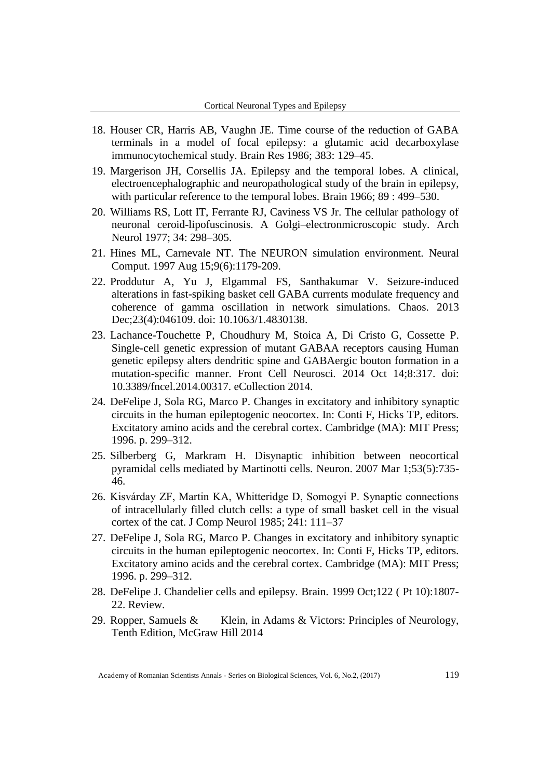- 18. Houser CR, Harris AB, Vaughn JE. Time course of the reduction of GABA terminals in a model of focal epilepsy: a glutamic acid decarboxylase immunocytochemical study. Brain Res 1986; 383: 129–45.
- 19. Margerison JH, Corsellis JA. Epilepsy and the temporal lobes. A clinical, electroencephalographic and neuropathological study of the brain in epilepsy, with particular reference to the temporal lobes. Brain 1966; 89 : 499–530.
- 20. Williams RS, Lott IT, Ferrante RJ, Caviness VS Jr. The cellular pathology of neuronal ceroid-lipofuscinosis. A Golgi–electronmicroscopic study. Arch Neurol 1977; 34: 298–305.
- 21. [Hines ML,](http://www.ncbi.nlm.nih.gov/pubmed?term=Hines%20ML%5BAuthor%5D&cauthor=true&cauthor_uid=9248061) [Carnevale NT.](http://www.ncbi.nlm.nih.gov/pubmed?term=Carnevale%20NT%5BAuthor%5D&cauthor=true&cauthor_uid=9248061) The NEURON simulation environment. [Neural](http://www.ncbi.nlm.nih.gov/pubmed/9248061/)  [Comput.](http://www.ncbi.nlm.nih.gov/pubmed/9248061/) 1997 Aug 15;9(6):1179-209.
- 22. [Proddutur A,](http://www.ncbi.nlm.nih.gov/pubmed?term=Proddutur%20A%5BAuthor%5D&cauthor=true&cauthor_uid=24387588) [Yu J,](http://www.ncbi.nlm.nih.gov/pubmed?term=Yu%20J%5BAuthor%5D&cauthor=true&cauthor_uid=24387588) [Elgammal FS,](http://www.ncbi.nlm.nih.gov/pubmed?term=Elgammal%20FS%5BAuthor%5D&cauthor=true&cauthor_uid=24387588) [Santhakumar V.](http://www.ncbi.nlm.nih.gov/pubmed?term=Santhakumar%20V%5BAuthor%5D&cauthor=true&cauthor_uid=24387588) Seizure-induced alterations in fast-spiking basket cell GABA currents modulate frequency and coherence of gamma oscillation in network simulations. [Chaos.](http://www.ncbi.nlm.nih.gov/pubmed/24387588) 2013 Dec;23(4):046109. doi: 10.1063/1.4830138.
- 23. [Lachance-Touchette P,](http://www.ncbi.nlm.nih.gov/pubmed?term=Lachance-Touchette%20P%5BAuthor%5D&cauthor=true&cauthor_uid=25352779) [Choudhury M,](http://www.ncbi.nlm.nih.gov/pubmed?term=Choudhury%20M%5BAuthor%5D&cauthor=true&cauthor_uid=25352779) [Stoica A,](http://www.ncbi.nlm.nih.gov/pubmed?term=Stoica%20A%5BAuthor%5D&cauthor=true&cauthor_uid=25352779) [Di Cristo G,](http://www.ncbi.nlm.nih.gov/pubmed?term=Di%20Cristo%20G%5BAuthor%5D&cauthor=true&cauthor_uid=25352779) [Cossette P.](http://www.ncbi.nlm.nih.gov/pubmed?term=Cossette%20P%5BAuthor%5D&cauthor=true&cauthor_uid=25352779) Single-cell genetic expression of mutant GABAA receptors causing Human genetic epilepsy alters dendritic spine and GABAergic bouton formation in a mutation-specific manner. [Front Cell Neurosci.](http://www.ncbi.nlm.nih.gov/pubmed/25352779) 2014 Oct 14;8:317. doi: 10.3389/fncel.2014.00317. eCollection 2014.
- 24. DeFelipe J, Sola RG, Marco P. Changes in excitatory and inhibitory synaptic circuits in the human epileptogenic neocortex. In: Conti F, Hicks TP, editors. Excitatory amino acids and the cerebral cortex. Cambridge (MA): MIT Press; 1996. p. 299–312.
- 25. Silberberg G, Markram H. [Disynaptic inhibition between neocortical](http://www.ncbi.nlm.nih.gov/pubmed/17329212)  [pyramidal cells mediated by Martinotti cells.](http://www.ncbi.nlm.nih.gov/pubmed/17329212) Neuron. 2007 Mar 1;53(5):735- 46.
- 26. Kisvárday ZF, Martin KA, Whitteridge D, Somogyi P. Synaptic connections of intracellularly filled clutch cells: a type of small basket cell in the visual cortex of the cat. J Comp Neurol 1985; 241: 111–37
- 27. DeFelipe J, Sola RG, Marco P. Changes in excitatory and inhibitory synaptic circuits in the human epileptogenic neocortex. In: Conti F, Hicks TP, editors. Excitatory amino acids and the cerebral cortex. Cambridge (MA): MIT Press; 1996. p. 299–312.
- 28. DeFelipe J. [Chandelier cells and epilepsy.](http://www.ncbi.nlm.nih.gov/pubmed/10506085) Brain. 1999 Oct;122 ( Pt 10):1807- 22. Review.
- 29. Ropper, Samuels & Klein, in Adams & Victors: Principles of Neurology, Tenth Edition, McGraw Hill 2014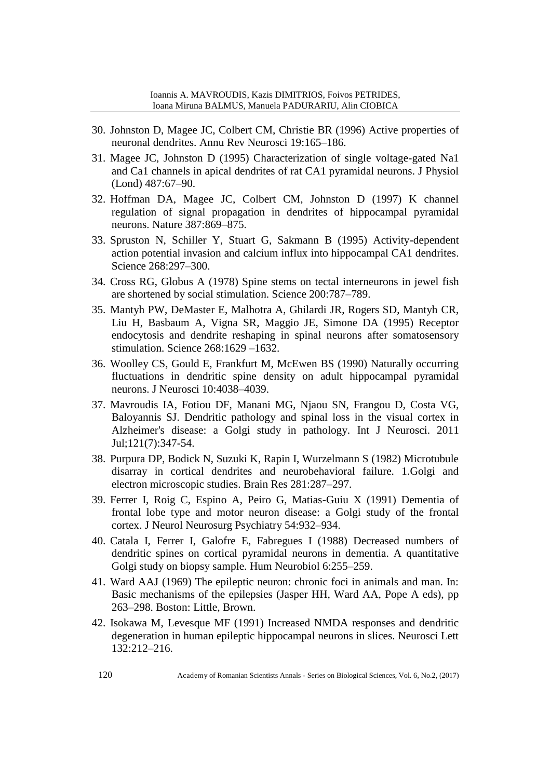- 30. Johnston D, Magee JC, Colbert CM, Christie BR (1996) Active properties of neuronal dendrites. Annu Rev Neurosci 19:165–186.
- 31. Magee JC, Johnston D (1995) Characterization of single voltage-gated Na1 and Ca1 channels in apical dendrites of rat CA1 pyramidal neurons. J Physiol (Lond) 487:67–90.
- 32. Hoffman DA, Magee JC, Colbert CM, Johnston D (1997) K channel regulation of signal propagation in dendrites of hippocampal pyramidal neurons. Nature 387:869–875.
- 33. Spruston N, Schiller Y, Stuart G, Sakmann B (1995) Activity-dependent action potential invasion and calcium influx into hippocampal CA1 dendrites. Science 268:297–300.
- 34. Cross RG, Globus A (1978) Spine stems on tectal interneurons in jewel fish are shortened by social stimulation. Science 200:787–789.
- 35. Mantyh PW, DeMaster E, Malhotra A, Ghilardi JR, Rogers SD, Mantyh CR, Liu H, Basbaum A, Vigna SR, Maggio JE, Simone DA (1995) Receptor endocytosis and dendrite reshaping in spinal neurons after somatosensory stimulation. Science 268:1629 –1632.
- 36. Woolley CS, Gould E, Frankfurt M, McEwen BS (1990) Naturally occurring fluctuations in dendritic spine density on adult hippocampal pyramidal neurons. J Neurosci 10:4038–4039.
- 37. Mavroudis IA, Fotiou DF, Manani MG, Njaou SN, Frangou D, Costa VG, Baloyannis SJ. [Dendritic pathology and spinal loss in the visual cortex in](http://www.ncbi.nlm.nih.gov/pubmed/21545306)  [Alzheimer's disease: a Golgi study in pathology.](http://www.ncbi.nlm.nih.gov/pubmed/21545306) Int J Neurosci. 2011 Jul;121(7):347-54.
- 38. Purpura DP, Bodick N, Suzuki K, Rapin I, Wurzelmann S (1982) Microtubule disarray in cortical dendrites and neurobehavioral failure. 1.Golgi and electron microscopic studies. Brain Res 281:287–297.
- 39. Ferrer I, Roig C, Espino A, Peiro G, Matias-Guiu X (1991) Dementia of frontal lobe type and motor neuron disease: a Golgi study of the frontal cortex. J Neurol Neurosurg Psychiatry 54:932–934.
- 40. Catala I, Ferrer I, Galofre E, Fabregues I (1988) Decreased numbers of dendritic spines on cortical pyramidal neurons in dementia. A quantitative Golgi study on biopsy sample. Hum Neurobiol 6:255–259.
- 41. Ward AAJ (1969) The epileptic neuron: chronic foci in animals and man. In: Basic mechanisms of the epilepsies (Jasper HH, Ward AA, Pope A eds), pp 263–298. Boston: Little, Brown.
- 42. Isokawa M, Levesque MF (1991) Increased NMDA responses and dendritic degeneration in human epileptic hippocampal neurons in slices. Neurosci Lett 132:212–216.